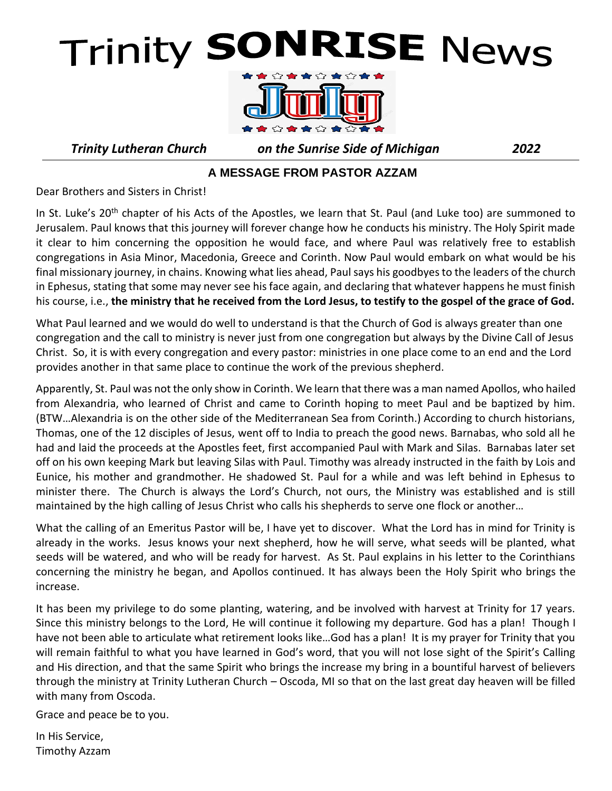# **Trinity SONRISE News**



*Trinity Lutheran Church on the Sunrise Side of Michigan 2022*

#### **A MESSAGE FROM PASTOR AZZAM**

Dear Brothers and Sisters in Christ!

In St. Luke's 20<sup>th</sup> chapter of his Acts of the Apostles, we learn that St. Paul (and Luke too) are summoned to Jerusalem. Paul knows that this journey will forever change how he conducts his ministry. The Holy Spirit made it clear to him concerning the opposition he would face, and where Paul was relatively free to establish congregations in Asia Minor, Macedonia, Greece and Corinth. Now Paul would embark on what would be his final missionary journey, in chains. Knowing what lies ahead, Paul says his goodbyes to the leaders of the church in Ephesus, stating that some may never see his face again, and declaring that whatever happens he must finish his course, i.e., **the ministry that he received from the Lord Jesus, to testify to the gospel of the grace of God.** 

What Paul learned and we would do well to understand is that the Church of God is always greater than one congregation and the call to ministry is never just from one congregation but always by the Divine Call of Jesus Christ. So, it is with every congregation and every pastor: ministries in one place come to an end and the Lord provides another in that same place to continue the work of the previous shepherd.

Apparently, St. Paul was not the only show in Corinth. We learn that there was a man named Apollos, who hailed from Alexandria, who learned of Christ and came to Corinth hoping to meet Paul and be baptized by him. (BTW…Alexandria is on the other side of the Mediterranean Sea from Corinth.) According to church historians, Thomas, one of the 12 disciples of Jesus, went off to India to preach the good news. Barnabas, who sold all he had and laid the proceeds at the Apostles feet, first accompanied Paul with Mark and Silas. Barnabas later set off on his own keeping Mark but leaving Silas with Paul. Timothy was already instructed in the faith by Lois and Eunice, his mother and grandmother. He shadowed St. Paul for a while and was left behind in Ephesus to minister there. The Church is always the Lord's Church, not ours, the Ministry was established and is still maintained by the high calling of Jesus Christ who calls his shepherds to serve one flock or another…

What the calling of an Emeritus Pastor will be, I have yet to discover. What the Lord has in mind for Trinity is already in the works. Jesus knows your next shepherd, how he will serve, what seeds will be planted, what seeds will be watered, and who will be ready for harvest. As St. Paul explains in his letter to the Corinthians concerning the ministry he began, and Apollos continued. It has always been the Holy Spirit who brings the increase.

It has been my privilege to do some planting, watering, and be involved with harvest at Trinity for 17 years. Since this ministry belongs to the Lord, He will continue it following my departure. God has a plan! Though I have not been able to articulate what retirement looks like…God has a plan! It is my prayer for Trinity that you will remain faithful to what you have learned in God's word, that you will not lose sight of the Spirit's Calling and His direction, and that the same Spirit who brings the increase my bring in a bountiful harvest of believers through the ministry at Trinity Lutheran Church – Oscoda, MI so that on the last great day heaven will be filled with many from Oscoda.

Grace and peace be to you.

In His Service, Timothy Azzam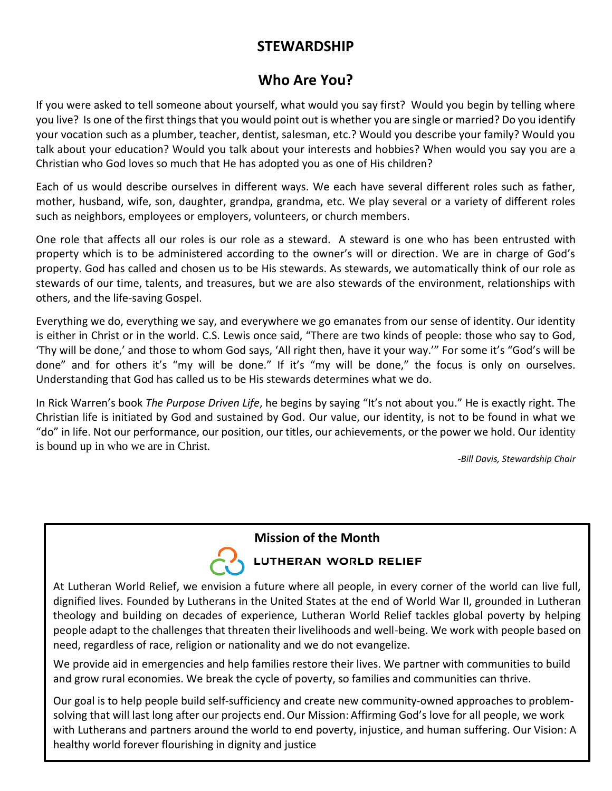#### **STEWARDSHIP**

#### **Who Are You?**

If you were asked to tell someone about yourself, what would you say first? Would you begin by telling where you live? Is one of the first things that you would point out is whether you are single or married? Do you identify your vocation such as a plumber, teacher, dentist, salesman, etc.? Would you describe your family? Would you talk about your education? Would you talk about your interests and hobbies? When would you say you are a Christian who God loves so much that He has adopted you as one of His children?

Each of us would describe ourselves in different ways. We each have several different roles such as father, mother, husband, wife, son, daughter, grandpa, grandma, etc. We play several or a variety of different roles such as neighbors, employees or employers, volunteers, or church members.

One role that affects all our roles is our role as a steward. A steward is one who has been entrusted with property which is to be administered according to the owner's will or direction. We are in charge of God's property. God has called and chosen us to be His stewards. As stewards, we automatically think of our role as stewards of our time, talents, and treasures, but we are also stewards of the environment, relationships with others, and the life-saving Gospel.

Everything we do, everything we say, and everywhere we go emanates from our sense of identity. Our identity is either in Christ or in the world. C.S. Lewis once said, "There are two kinds of people: those who say to God, 'Thy will be done,' and those to whom God says, 'All right then, have it your way.'" For some it's "God's will be done" and for others it's "my will be done." If it's "my will be done," the focus is only on ourselves. Understanding that God has called us to be His stewards determines what we do.

In Rick Warren's book *The Purpose Driven Life*, he begins by saying "It's not about you." He is exactly right. The Christian life is initiated by God and sustained by God. Our value, our identity, is not to be found in what we "do" in life. Not our performance, our position, our titles, our achievements, or the power we hold. Our identity is bound up in who we are in Christ.

*-Bill Davis, Stewardship Chair*

#### **Mission of the Month**



**LUTHERAN WORLD RELIEF** 

At Lutheran World Relief, we envision a future where all people, in every corner of the world can live full, dignified lives. Founded by Lutherans in the United States at the end of World War II, grounded in Lutheran theology and building on decades of experience, Lutheran World Relief tackles global poverty by helping people adapt to the challenges that threaten their livelihoods and well-being. We work with people based on need, regardless of race, religion or nationality and we do not evangelize.

We provide aid in emergencies and help families restore their lives. We partner with communities to build and grow rural economies. We break the cycle of poverty, so families and communities can thrive.

Our goal is to help people build self‐sufficiency and create new community‐owned approaches to problem‐ solving that will last long after our projects end. Our Mission: Affirming God's love for all people, we work with Lutherans and partners around the world to end poverty, injustice, and human suffering. Our Vision: A healthy world forever flourishing in dignity and justice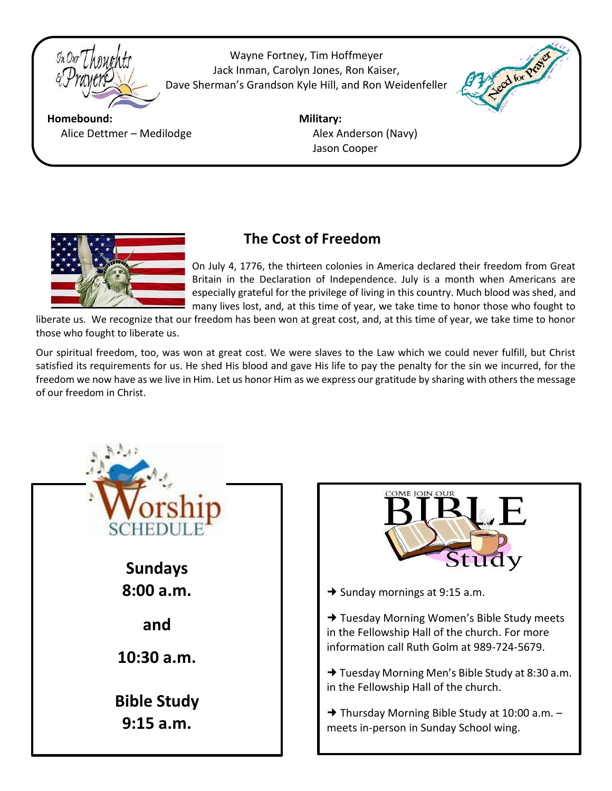

Wayne Fortney, Tim Hoffmeyer Jack Inman, Carolyn Jones, Ron Kaiser, Dave Sherman's Grandson Kyle Hill, and Ron Weidenfeller

 $\overline{a}$ 



**Homebound: Military:** Alice Dettmer – Medilodge Alex Anderson (Navy)

Jason Cooper



#### **The Cost of Freedom**

On July 4, 1776, the thirteen colonies in America declared their freedom from Great Britain in the Declaration of Independence. July is a month when Americans are especially grateful for the privilege of living in this country. Much blood was shed, and many lives lost, and, at this time of year, we take time to honor those who fought to

liberate us. We recognize that our freedom has been won at great cost, and, at this time of year, we take time to honor those who fought to liberate us.

Our spiritual freedom, too, was won at great cost. We were slaves to the Law which we could never fulfill, but Christ satisfied its requirements for us. He shed His blood and gave His life to pay the penalty for the sin we incurred, for the freedom we now have as we live in Him. Let us honor Him as we express our gratitude by sharing with others the message of our freedom in Christ.





 $\rightarrow$  Sunday mornings at 9:15 a.m.

→ Tuesday Morning Women's Bible Study meets in the Fellowship Hall of the church. For more information call Ruth Golm at 989-724-5679.

→ Tuesday Morning Men's Bible Study at 8:30 a.m. in the Fellowship Hall of the church.

 $\rightarrow$  Thursday Morning Bible Study at 10:00 a.m.  $$ meets in-person in Sunday School wing.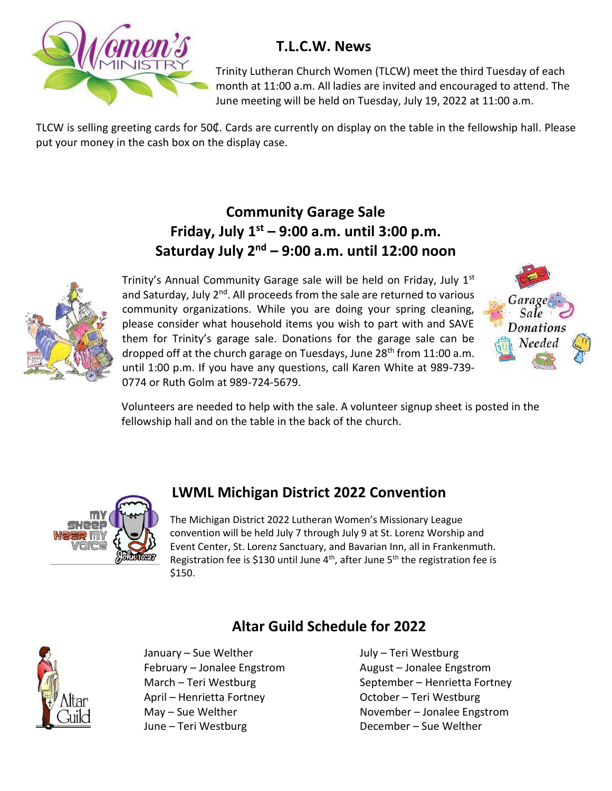

#### **T.L.C.W. News**

Trinity Lutheran Church Women (TLCW) meet the third Tuesday of each month at 11:00 a.m. All ladies are invited and encouraged to attend. The June meeting will be held on Tuesday, July 19, 2022 at 11:00 a.m.

TLCW is selling greeting cards for 50₵. Cards are currently on display on the table in the fellowship hall. Please put your money in the cash box on the display case.

#### **Community Garage Sale Friday, July 1st – 9:00 a.m. until 3:00 p.m. Saturday July 2nd – 9:00 a.m. until 12:00 noon**



Trinity's Annual Community Garage sale will be held on Friday, July  $1<sup>st</sup>$ and Saturday, July 2<sup>nd</sup>. All proceeds from the sale are returned to various community organizations. While you are doing your spring cleaning, please consider what household items you wish to part with and SAVE them for Trinity's garage sale. Donations for the garage sale can be dropped off at the church garage on Tuesdays, June 28<sup>th</sup> from 11:00 a.m. until 1:00 p.m. If you have any questions, call Karen White at 989-739- 0774 or Ruth Golm at 989-724-5679.



 Volunteers are needed to help with the sale. A volunteer signup sheet is posted in the fellowship hall and on the table in the back of the church.



#### **LWML Michigan District 2022 Convention**

The Michigan District 2022 Lutheran Women's Missionary League convention will be held July 7 through July 9 at St. Lorenz Worship and Event Center, St. Lorenz Sanctuary, and Bavarian Inn, all in Frankenmuth. Registration fee is \$130 until June  $4<sup>th</sup>$ , after June  $5<sup>th</sup>$  the registration fee is \$150.

 **Altar Guild Schedule for 2022**

January – Sue Welther **July – Teri Westburg** February – Jonalee Engstrom August – Jonalee Engstrom April – Henrietta Fortney Charles Corporation Corporation Corporation Corporation Corporation Corporation Corporation Corporation Corporation Corporation Corporation Corporation Corporation Corporation Corporation Corporat June – Teri Westburg December – Sue Welther

March – Teri Westburg September – Henrietta Fortney May – Sue Welther **November** – Jonalee Engstrom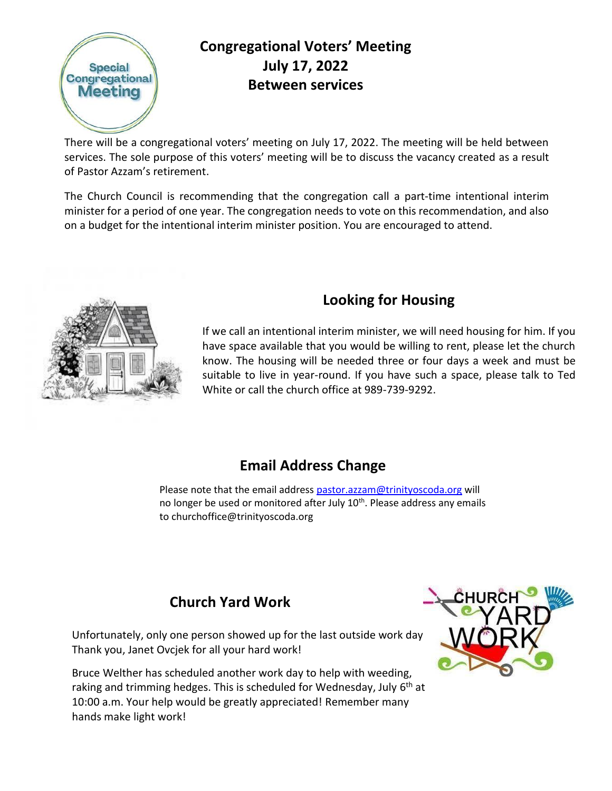

#### **Congregational Voters' Meeting July 17, 2022 Between services**

There will be a congregational voters' meeting on July 17, 2022. The meeting will be held between services. The sole purpose of this voters' meeting will be to discuss the vacancy created as a result of Pastor Azzam's retirement.

The Church Council is recommending that the congregation call a part-time intentional interim minister for a period of one year. The congregation needs to vote on this recommendation, and also on a budget for the intentional interim minister position. You are encouraged to attend.



#### **Looking for Housing**

If we call an intentional interim minister, we will need housing for him. If you have space available that you would be willing to rent, please let the church know. The housing will be needed three or four days a week and must be suitable to live in year-round. If you have such a space, please talk to Ted White or call the church office at 989-739-9292.

#### **Email Address Change**

Please note that the email addres[s pastor.azzam@trinityoscoda.org](mailto:pastor.azzam@trinityoscoda.org) will no longer be used or monitored after July 10<sup>th</sup>. Please address any emails to churchoffice@trinityoscoda.org

#### **Church Yard Work**

Unfortunately, only one person showed up for the last outside work day. Thank you, Janet Ovcjek for all your hard work!

Bruce Welther has scheduled another work day to help with weeding, raking and trimming hedges. This is scheduled for Wednesday, July 6<sup>th</sup> at 10:00 a.m. Your help would be greatly appreciated! Remember many hands make light work!

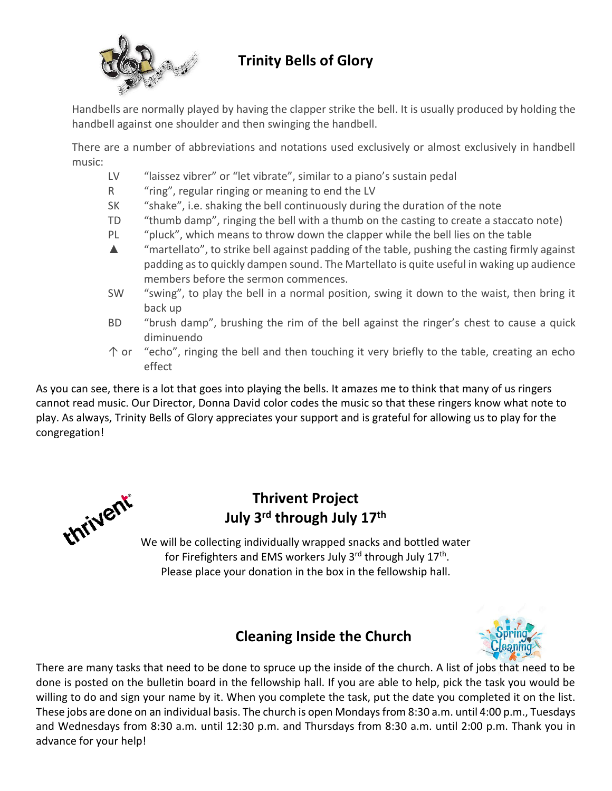

#### **Trinity Bells of Glory**

Handbells are normally played by having the clapper strike the bell. It is usually produced by holding the handbell against one shoulder and then swinging the handbell.

There are a number of abbreviations and notations used exclusively or almost exclusively in handbell music:

- LV "laissez vibrer" or "let vibrate", similar to a piano's sustain pedal
- R "ring", regular ringing or meaning to end the LV
- SK "shake", i.e. shaking the bell continuously during the duration of the note
- TD "thumb damp", ringing the bell with a thumb on the casting to create a staccato note)
- PL "pluck", which means to throw down the clapper while the bell lies on the table
- $\triangle$  "martellato", to strike bell against padding of the table, pushing the casting firmly against padding as to quickly dampen sound. The Martellato is quite useful in waking up audience members before the sermon commences.
- SW "swing", to play the bell in a normal position, swing it down to the waist, then bring it back up
- BD "brush damp", brushing the rim of the bell against the ringer's chest to cause a quick diminuendo
- ↑ or "echo", ringing the bell and then touching it very briefly to the table, creating an echo effect

As you can see, there is a lot that goes into playing the bells. It amazes me to think that many of us ringers cannot read music. Our Director, Donna David color codes the music so that these ringers know what note to play. As always, Trinity Bells of Glory appreciates your support and is grateful for allowing us to play for the congregation!



#### **Thrivent Project July 3rd through July 17th**

We will be collecting individually wrapped snacks and bottled water for Firefighters and EMS workers July 3<sup>rd</sup> through July 17<sup>th</sup>. Please place your donation in the box in the fellowship hall.

#### **Cleaning Inside the Church**



There are many tasks that need to be done to spruce up the inside of the church. A list of jobs that need to be done is posted on the bulletin board in the fellowship hall. If you are able to help, pick the task you would be willing to do and sign your name by it. When you complete the task, put the date you completed it on the list. These jobs are done on an individual basis. The church is open Mondays from 8:30 a.m. until 4:00 p.m., Tuesdays and Wednesdays from 8:30 a.m. until 12:30 p.m. and Thursdays from 8:30 a.m. until 2:00 p.m. Thank you in advance for your help!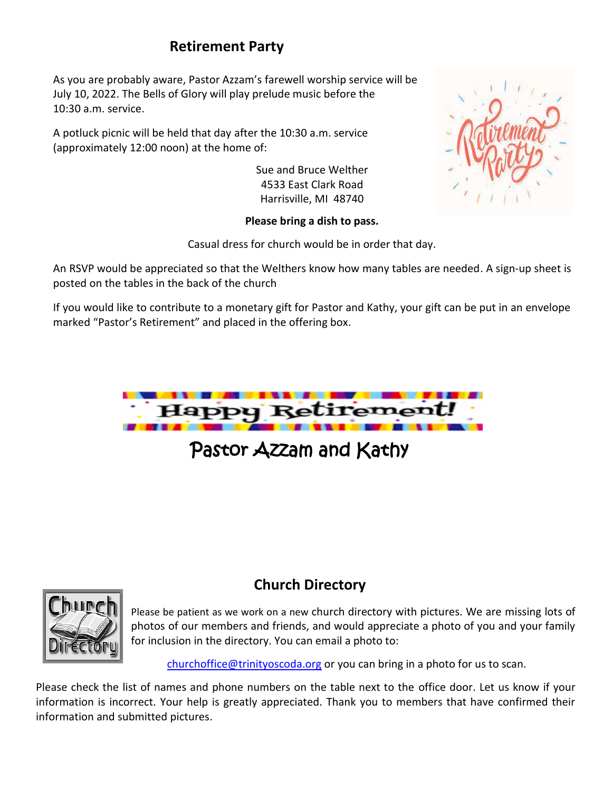#### **Retirement Party**

As you are probably aware, Pastor Azzam's farewell worship service will be July 10, 2022. The Bells of Glory will play prelude music before the 10:30 a.m. service.

A potluck picnic will be held that day after the 10:30 a.m. service (approximately 12:00 noon) at the home of:

> Sue and Bruce Welther 4533 East Clark Road Harrisville, MI 48740

#### **Please bring a dish to pass.**

Casual dress for church would be in order that day.

An RSVP would be appreciated so that the Welthers know how many tables are needed. A sign-up sheet is posted on the tables in the back of the church

If you would like to contribute to a monetary gift for Pastor and Kathy, your gift can be put in an envelope marked "Pastor's Retirement" and placed in the offering box.



### Pastor Azzam and Kathy



#### **Church Directory**

Please be patient as we work on a new church directory with pictures. We are missing lots of photos of our members and friends, and would appreciate a photo of you and your family for inclusion in the directory. You can email a photo to:

[churchoffice@trinityoscoda.org](mailto:churchoffice@trinityoscoda.org) or you can bring in a photo for us to scan.

Please check the list of names and phone numbers on the table next to the office door. Let us know if your information is incorrect. Your help is greatly appreciated. Thank you to members that have confirmed their information and submitted pictures.

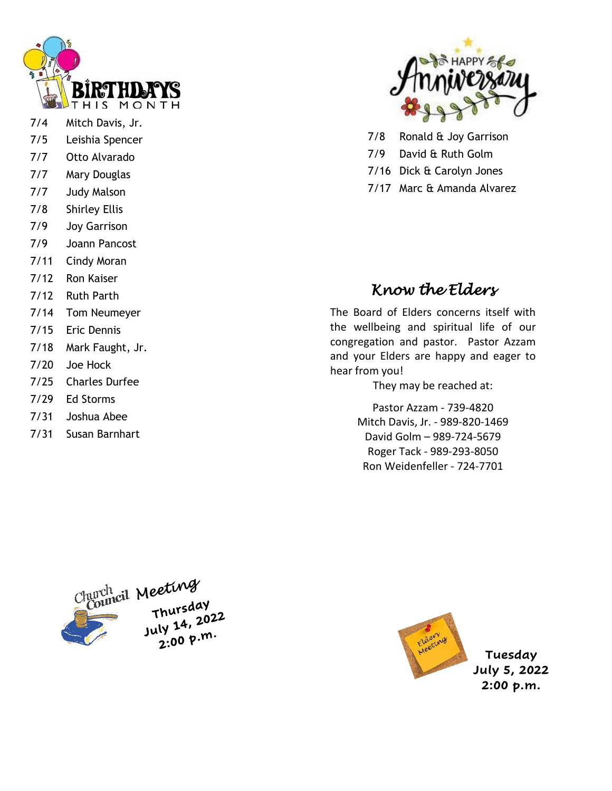

- 7/4 Mitch Davis, Jr.
- 7/5 Leishia Spencer
- 7/7 Otto Alvarado
- 7/7 Mary Douglas
- 7/7 Judy Malson
- 7/8 Shirley Ellis
- 7/9 Joy Garrison
- 7/9 Joann Pancost
- 7/11 Cindy Moran
- 7/12 Ron Kaiser
- 7/12 Ruth Parth
- 7/14 Tom Neumeyer
- 7/15 Eric Dennis
- 7/18 Mark Faught, Jr.
- 7/20 Joe Hock
- 7/25 Charles Durfee
- 7/29 Ed Storms
- 7/31 Joshua Abee
- 7/31 Susan Barnhart



- 7/8 Ronald & Joy Garrison
- 7/9 David & Ruth Golm
- 7/16 Dick & Carolyn Jones
- 7/17 Marc & Amanda Alvarez

#### *Know the Elders*

The Board of Elders concerns itself with the wellbeing and spiritual life of our congregation and pastor. Pastor Azzam and your Elders are happy and eager to hear from you!

They may be reached at:

Pastor Azzam - 739-4820 Mitch Davis, Jr. - 989-820-1469 David Golm – 989-724-5679 Roger Tack - 989-293-8050 Ron Weidenfeller - 724-7701